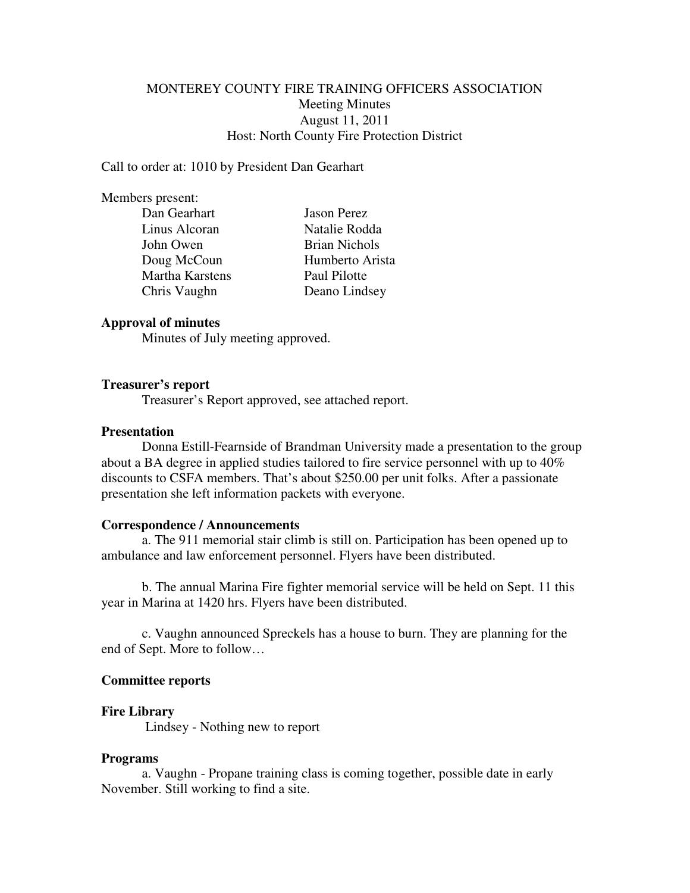# MONTEREY COUNTY FIRE TRAINING OFFICERS ASSOCIATION Meeting Minutes August 11, 2011 Host: North County Fire Protection District

Call to order at: 1010 by President Dan Gearhart

#### Members present:

| Dan Gearhart    | <b>Jason Perez</b>   |
|-----------------|----------------------|
| Linus Alcoran   | Natalie Rodda        |
| John Owen       | <b>Brian Nichols</b> |
| Doug McCoun     | Humberto Arista      |
| Martha Karstens | Paul Pilotte         |
| Chris Vaughn    | Deano Lindsey        |
|                 |                      |

## **Approval of minutes**

Minutes of July meeting approved.

#### **Treasurer's report**

Treasurer's Report approved, see attached report.

#### **Presentation**

 Donna Estill-Fearnside of Brandman University made a presentation to the group about a BA degree in applied studies tailored to fire service personnel with up to 40% discounts to CSFA members. That's about \$250.00 per unit folks. After a passionate presentation she left information packets with everyone.

### **Correspondence / Announcements**

 a. The 911 memorial stair climb is still on. Participation has been opened up to ambulance and law enforcement personnel. Flyers have been distributed.

 b. The annual Marina Fire fighter memorial service will be held on Sept. 11 this year in Marina at 1420 hrs. Flyers have been distributed.

 c. Vaughn announced Spreckels has a house to burn. They are planning for the end of Sept. More to follow…

#### **Committee reports**

#### **Fire Library**

Lindsey - Nothing new to report

#### **Programs**

 a. Vaughn - Propane training class is coming together, possible date in early November. Still working to find a site.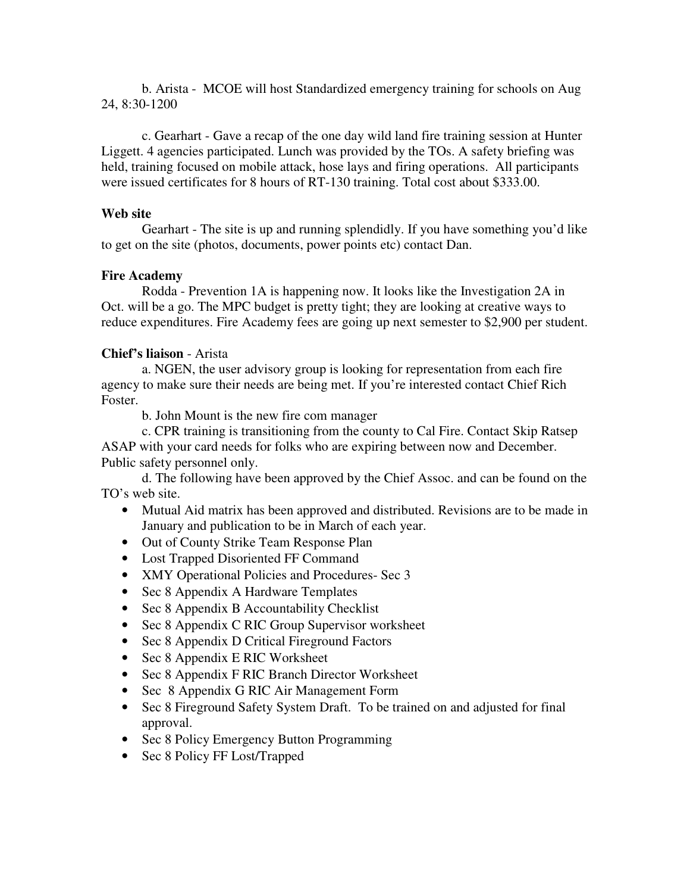b. Arista - MCOE will host Standardized emergency training for schools on Aug 24, 8:30-1200

 c. Gearhart - Gave a recap of the one day wild land fire training session at Hunter Liggett. 4 agencies participated. Lunch was provided by the TOs. A safety briefing was held, training focused on mobile attack, hose lays and firing operations. All participants were issued certificates for 8 hours of RT-130 training. Total cost about \$333.00.

## **Web site**

 Gearhart - The site is up and running splendidly. If you have something you'd like to get on the site (photos, documents, power points etc) contact Dan.

## **Fire Academy**

 Rodda - Prevention 1A is happening now. It looks like the Investigation 2A in Oct. will be a go. The MPC budget is pretty tight; they are looking at creative ways to reduce expenditures. Fire Academy fees are going up next semester to \$2,900 per student.

# **Chief's liaison** - Arista

 a. NGEN, the user advisory group is looking for representation from each fire agency to make sure their needs are being met. If you're interested contact Chief Rich Foster.

b. John Mount is the new fire com manager

 c. CPR training is transitioning from the county to Cal Fire. Contact Skip Ratsep ASAP with your card needs for folks who are expiring between now and December. Public safety personnel only.

 d. The following have been approved by the Chief Assoc. and can be found on the TO's web site.

- Mutual Aid matrix has been approved and distributed. Revisions are to be made in January and publication to be in March of each year.
- Out of County Strike Team Response Plan
- Lost Trapped Disoriented FF Command
- XMY Operational Policies and Procedures- Sec 3
- Sec 8 Appendix A Hardware Templates
- Sec 8 Appendix B Accountability Checklist
- Sec 8 Appendix C RIC Group Supervisor worksheet
- Sec 8 Appendix D Critical Fireground Factors
- Sec 8 Appendix E RIC Worksheet
- Sec 8 Appendix F RIC Branch Director Worksheet
- Sec 8 Appendix G RIC Air Management Form
- Sec 8 Fireground Safety System Draft. To be trained on and adjusted for final approval.
- Sec 8 Policy Emergency Button Programming
- Sec 8 Policy FF Lost/Trapped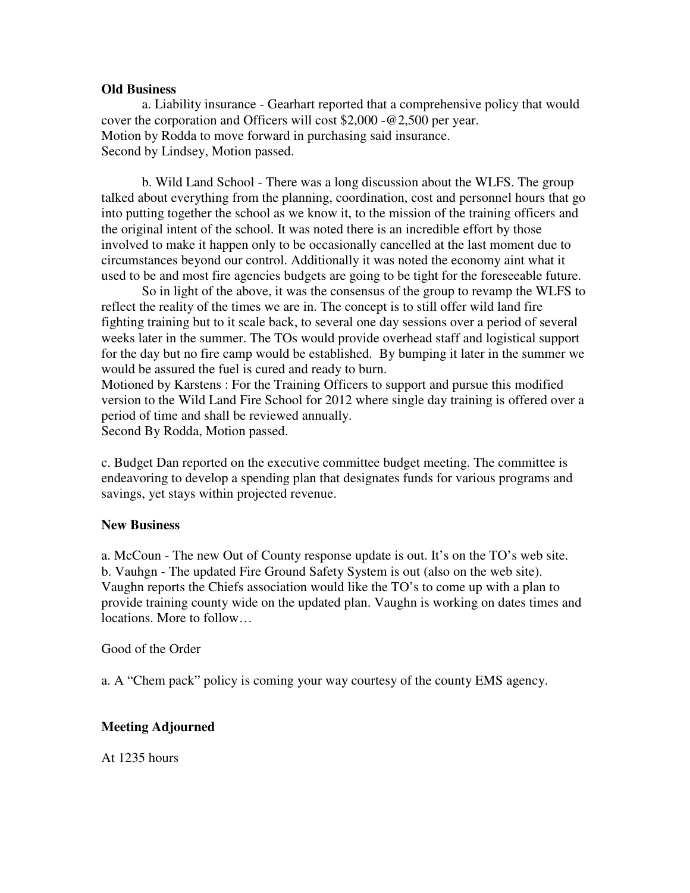## **Old Business**

 a. Liability insurance - Gearhart reported that a comprehensive policy that would cover the corporation and Officers will cost \$2,000 -@2,500 per year. Motion by Rodda to move forward in purchasing said insurance. Second by Lindsey, Motion passed.

 b. Wild Land School - There was a long discussion about the WLFS. The group talked about everything from the planning, coordination, cost and personnel hours that go into putting together the school as we know it, to the mission of the training officers and the original intent of the school. It was noted there is an incredible effort by those involved to make it happen only to be occasionally cancelled at the last moment due to circumstances beyond our control. Additionally it was noted the economy aint what it used to be and most fire agencies budgets are going to be tight for the foreseeable future.

 So in light of the above, it was the consensus of the group to revamp the WLFS to reflect the reality of the times we are in. The concept is to still offer wild land fire fighting training but to it scale back, to several one day sessions over a period of several weeks later in the summer. The TOs would provide overhead staff and logistical support for the day but no fire camp would be established. By bumping it later in the summer we would be assured the fuel is cured and ready to burn.

Motioned by Karstens : For the Training Officers to support and pursue this modified version to the Wild Land Fire School for 2012 where single day training is offered over a period of time and shall be reviewed annually.

Second By Rodda, Motion passed.

c. Budget Dan reported on the executive committee budget meeting. The committee is endeavoring to develop a spending plan that designates funds for various programs and savings, yet stays within projected revenue.

# **New Business**

a. McCoun - The new Out of County response update is out. It's on the TO's web site. b. Vauhgn - The updated Fire Ground Safety System is out (also on the web site). Vaughn reports the Chiefs association would like the TO's to come up with a plan to provide training county wide on the updated plan. Vaughn is working on dates times and locations. More to follow…

## Good of the Order

a. A "Chem pack" policy is coming your way courtesy of the county EMS agency.

# **Meeting Adjourned**

At 1235 hours